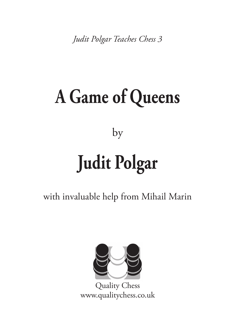*[Judit Polgar Teaches Chess 3](http://www.qualitychess.co.uk/products/1/177/a_game_of_queens_-_judit_polgar_teaches_chess_3/)*

# **[A Game of Queens](http://www.qualitychess.co.uk/products/1/177/a_game_of_queens_-_judit_polgar_teaches_chess_3/)**

[by](http://www.qualitychess.co.uk/products/1/177/a_game_of_queens_-_judit_polgar_teaches_chess_3/)

# **[Judit Polgar](http://www.qualitychess.co.uk/products/1/177/a_game_of_queens_-_judit_polgar_teaches_chess_3/)**

with invaluable help from Mihail Marin



[Quality Chess](http://www.qualitychess.co.uk/) [www.qualitychess.co.uk](http://www.qualitychess.co.uk/)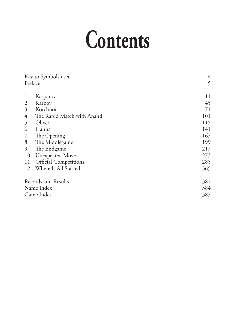# **Contents**

| Key to Symbols used<br>Preface |                            | 4<br>5 |
|--------------------------------|----------------------------|--------|
| 1                              | Kasparov                   | 11     |
| $\overline{2}$                 | Karpov                     | 45     |
| $\mathfrak{Z}$                 | Korchnoi                   | 71     |
| 4                              | The Rapid Match with Anand | 101    |
| 5                              | Oliver                     | 115    |
| 6                              | Hanna                      | 141    |
| 7                              | The Opening                | 167    |
| 8                              | The Middlegame             | 199    |
| 9                              | The Endgame                | 217    |
| 10                             | <b>Unexpected Moves</b>    | 273    |
| 11                             | Official Competitions      | 285    |
| 12                             | Where It All Started       | 365    |
| Records and Results            |                            | 382    |
| Name Index                     |                            | 384    |
| Game Index                     |                            | 387    |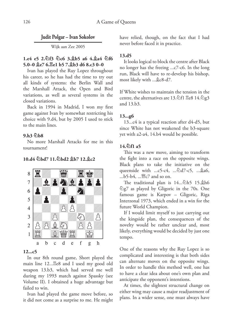# **Judit Polgar – Ivan Sokolov**

Wijk aan Zee 2005

# **1.e4 e5 2.¤f3 ¤c6 3.¥b5 a6 4.¥a4 ¤f6 5.0–0 ¥e7 6.¦e1 b5 7.¥b3 d6 8.c3 0–0**

Ivan has played the Ruy Lopez throughout his career, so he has had the time to try out all kinds of systems: the Berlin Wall and the Marshall Attack, the Open and Bird variations, as well as several systems in the closed variations.

Back in 1994 in Madrid, I won my first game against Ivan by somewhat restricting his choice with 9.d4, but by 2005 I used to stick to the main lines.

#### **9.h3 ¤b8**

No more Marshall Attacks for me in this tournament!

#### **10.d4 ¤bd7 11.¤bd2 ¥b7 12.¥c2**



# **12...c5**

In our 8th round game, Short played the main line  $12...\overline{\mathbb{E}}e8$  and I used my good old weapon 13.b3, which had served me well during my 1993 match against Spassky (see Volume II). I obtained a huge advantage but failed to win.

Ivan had played the game move before, so it did not come as a surprise to me. He might have relied, though, on the fact that I had never before faced it in practice.

#### **13.d5**

It looks logical to block the centre after Black no longer has the freeing ...c7-c6. In the long run, Black will have to re-develop his bishop, most likely with ... &c8-d7.

If White wishes to maintain the tension in the centre, the alternatives are 13. $\textcircled{1}$   $f1 \to e8$  14. $\textcircled{2}$ g3 and 13.b3.

#### **13...g6**

13...c4 is a typical reaction after d4-d5, but since White has not weakened the b3-square yet with a2-a4, 14.b4 would be possible.

# **14.¤f1 a5**

This was a new move, aiming to transform the fight into a race on the opposite wings. Black plans to take the initiative on the queenside with ... $c5-c4$ , ... $\triangle d7-c5$ , ... $\triangle a6$ ,  $...b5-b4$ ,  $...$   $@c7$  and so on.

The traditional plan is 14...<sup>@</sup>h5 15. h6  $\hat{\mathbb{Z}}$ g7 as played by Gligoric in the 70s. One famous game is Karpov – Gligoric, Riga Interzonal 1973, which ended in a win for the future World Champion.

If I would limit myself to just carrying out the kingside plan, the consequences of the novelty would be rather unclear and, most likely, everything would be decided by just one tempo.

One of the reasons why the Ruy Lopez is so complicated and interesting is that both sides can alternate moves on the opposite wings. In order to handle this method well, one has to have a clear idea about one's own plan and anticipate the opponent's intentions.

At times, the slightest structural change on either wing may cause a major readjustment of plans. In a wider sense, one must always have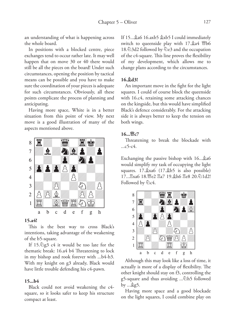an understanding of what is happening across the whole board.

In positions with a blocked centre, piece exchanges tend to occur rather late. It may well happen that on move 30 or 40 there would still be all the pieces on the board! Under such circumstances, opening the position by tactical means can be possible and you have to make sure the coordination of your pieces is adequate for such circumstances. Obviously, all these points complicate the process of planning and anticipating.

Having more space, White is in a better situation from this point of view. My next move is a good illustration of many of the aspects mentioned above.



#### **15.a4!**

This is the best way to cross Black's intentions, taking advantage of the weakening of the b5-square.

If  $15.\text{\textdegree$\triangle$}$ g3 c4 it would be too late for the thematic break: 16.a4 b4 Threatening to lock in my bishop and rook forever with ...b4-b3. With my knight on g3 already, Black would have little trouble defending his c4-pawn.

#### **15...b4**

Black could not avoid weakening the c4 square, so it looks safer to keep his structure compact at least.

If  $15...$ &a6 16.axb5  $\⊂>xt$  I could immediately switch to queenside play with  $17.\n$ \$24  $\mathcal{W}$ b6 18. $\triangle$ 3d2 followed by  $\triangle$ e3 and the occupation of the c4-square. This line proves the flexibility of my development, which allows me to change plans according to the circumstances.

#### **16.¥d3!**

An important move in the fight for the light squares. I could of course block the queenside with 16.c4, retaining some attacking chances on the kingside, but this would have simplified Black's defence considerably. For the attacking side it is always better to keep the tension on both wings.

# **16...£c7**

Threatening to break the blockade with ...c5-c4.

Exchanging the passive bishop with  $16...$ \$46 would simplify my task of occupying the light squares.  $17.\&\text{xa}6 \ (17.\&\text{b}5 \text{ is also possible})$ 17... xa6 18. e2 xa7 19. ah6 xe8 20. 21d2! Followed by  $\&$ c4.



Although this may look like a loss of time, it actually is more of a display of flexibility. The other knight should stay on f3, controlling the g5-square and thus avoiding ....<sup>5</sup>h5 followed by  $\ldots$  \$g5.

Having more space and a good blockade on the light squares, I could combine play on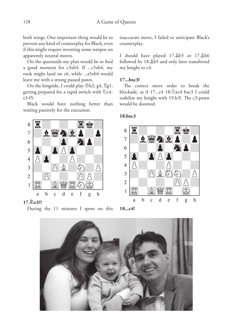both wings. One important thing would be to prevent any kind of counterplay for Black, even if this might require investing some tempos on apparently neutral moves.

On the queenside my plan would be to find a good moment for c3xb4. If ...c5xb4, my rook might land on c6, while ...a5xb4 would leave me with a strong passed pawn.

On the kingside, I could play  $\Phi$ h2, g4,  $\Xi$ g1, getting prepared for a rapid switch with  $\&$ c4e3-f5.

Black would have nothing better than waiting passively for the execution.



#### **17.¤e3?!**



inaccurate move, I failed to anticipate Black's counterplay.

I should have played  $17.\&55$  or  $17.\&56$ followed by 18.¥b5 and only later transferred my knight to c4.

#### **17...bxc3!**

The correct move order to break the blockade, as if  $17...c4$   $18.\&$   $\&$   $\&$   $\&$   $\&$   $\&$   $\&$   $\&$   $\&$   $\&$   $\&$   $\&$   $\&$   $\&$   $\&$   $\&$   $\&$   $\&$   $\&$   $\&$   $\&$   $\&$   $\&$   $\&$   $\&$   $\&$   $\&$   $\&$ stabilize my knight with 19.b3!. The c3-pawn would be doomed.

## **18.bxc3**





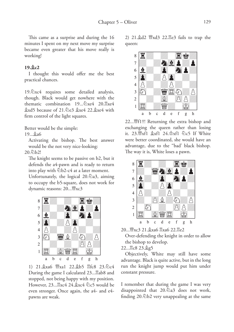This came as a surprise and during the 16 minutes I spent on my next move my surprise became even greater that his move really is working!

#### **19.¥c2**

I thought this would offer me the best practical chances.

19.  $\&$  xc4 requires some detailed analysis, though. Black would get nowhere with the thematic combination  $19...\&xe4$  20. $\&xe4$  $\&$ xd5 because of 21. $\&$ e3  $\&$ xe4 22. $\&$ xe4 with firm control of the light squares.

Better would be the simple:

#### 19...¥a6

Activating the bishop. The best answer would be the not very nice-looking:

 $20.$  $h$  $h$  $2!$ 

The knight seems to be passive on b2, but it defends the a4-pawn and is ready to return into play with  $\&$ b2-c4 at a later moment.

Unfortunately, the logical  $20.\hat{\triangle}$ a3, aiming to occupy the b5-square, does not work for dynamic reasons: 20... ₩xc3



1) 21.¥xa6 £xa1 22.¥b5 ¦fc8 23.¤c4 During the game I calculated 23...<sub>ab8</sub> and stopped, not being happy with my position. However,  $23...$   $\&xc4$   $24.\&xc4$   $\&c5$  would be even stronger. Once again, the a4- and e4 pawns are weak.

2)  $21.\&d2 \,$   $\mathbb{W}$ xd $3$   $22.\&e3$  fails to trap the queen:



22... *暨f1†!* Returning the extra bishop and exchanging the queen rather than losing it. 23. xf1 \$xf1 24. \$xf1 \cf2 c5 If White were better coordinated, she would have an advantage, due to the ''bad' black bishop. The way it is, White loses a pawn.



20... 曾xc3 21. gxa6 骂xa6 22. 骂e2

Over-defending the knight in order to allow the bishop to develop.

22... gc8 23. g5

Objectively, White may still have some advantage. Black is quite active, but in the long run the knight jump would put him under constant pressure.

I remember that during the game I was very disappointed that  $20.\text{\textdegree$\triangle}$  does not work, finding  $20.\&02$  very unappealing at the same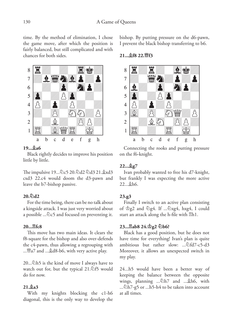time. By the method of elimination, I chose the game move, after which the position is fairly balanced, but still complicated and with chances for both sides.



#### **19...¥a6**

Black rightly decides to improve his position little by little.

The impulsive 19... 2c5 20. 2d2 2d3 21. &xd3 cxd3 22.c4 would doom the d3-pawn and leave the b7-bishop passive.

# **20.¤d2**

For the time being, there can be no talk about a kingside attack. I was just very worried about a possible ...  $\&c5$  and focused on preventing it.

## **20...¦fc8**

This move has two main ideas. It clears the f8-square for the bishop and also over-defends the c4-pawn, thus allowing a regrouping with ...<sup>™</sup>a7 and ... ad8-b6, with very active play.

20...¤h5 is the kind of move I always have to watch out for, but the typical  $21.\overline{\textcircled{2}}$ f5 would do for now.

# **21.¥a3**

With my knights blocking the c1-h6 diagonal, this is the only way to develop the bishop. By putting pressure on the d6-pawn, I prevent the black bishop transferring to b6.

#### **21...¥f8 22.£f3**



Connecting the rooks and putting pressure on the f6-knight.

#### **22...¥g7**

Ivan probably wanted to free his d7-knight, but frankly I was expecting the more active 22...¥h6.

#### **23.g3**

Finally I switch to an active plan consisting of  $\Phi$ g2 and  $\Phi$ g4. If ... $\Phi$ xg4, hxg4, I could start an attack along the h-file with  $\n **Z**h1$ .

# **23...¦ab8 24.¢g2 ¤b6?**

Black has a good position, but he does not have time for everything! Ivan's plan is quite ambitious but rather slow: ...@fd7-c5-d3 Moreover, it allows an unexpected switch in my play.

24...h5 would have been a better way of keeping the balance between the opposite wings, planning ... Dh7 and ... \$h6, with ... $\triangle h$ 7-g5 or ...h5-h4 to be taken into account at all times.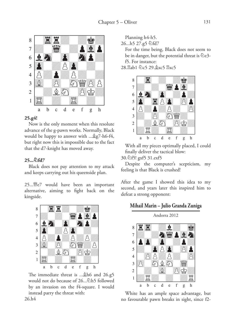

#### **25.g4!**

Now is the only moment when this resolute advance of the g-pawn works. Normally, Black would be happy to answer with ... \$g7-h6-f4, but right now this is impossible due to the fact that the d7-knight has moved away.

#### **25...¤fd7**

Black does not pay attention to my attack and keeps carrying out his queenside plan.

25...£e7 would have been an important alternative, aiming to fight back on the kingside.



The immediate threat is ... \$h6 and 26.g5 would not do because of 26... <sup>h</sup>5 followed by an invasion on the f4-square. I would instead parry the threat with: 26.h4

Planning h4-h5.

26...h5 27.g5 <a>

For the time being, Black does not seem to be in danger, but the potential threat is  $\&$ e3f5. For instance:

28. ab1 公c5 29. gxc5 xc5



With all my pieces optimally placed, I could finally deliver the tactical blow:

30.¤f5! gxf5 31.exf5

Despite the computer's scepticism, my feeling is that Black is crushed!

After the game I showed this idea to my second, and years later this inspired him to defeat a strong opponent:

# **Mihail Marin – Julio Granda Zuniga**



White has an ample space advantage, but no favourable pawn breaks in sight, since f2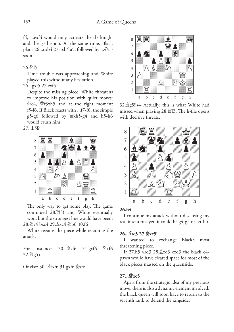f4, ...exf4 would only activate the d7-knight and the g7-bishop. At the same time, Black plans  $26...cxb4$  27.axb4 a5, followed by  $\therefore$   $\&c5$ soon.

#### $26.$  $\bigcirc$ f5!

Time trouble was approaching and White played this without any hesitation.

#### 26...gxf5 27.exf5

Despite the missing piece, White threatens to improve his position with quiet moves: **@e4, 曾f3xh5** and at the right moment f5-f6. If Black reacts with ...f7-f6, the simple  $g5-g6$  followed by  $\mathcal{W}$ xh5-g4 and h5-h6 would crush him.

27...b5!?



The only way to get some play. The game continued 28. gf3 and White eventually won, but the strongest line would have been: 28.¤e4 bxc4 29.¥xc4 ¤b6 30.f6

White regains the piece while retaining the attack.

For instance: 30... \$xf6 31.gxf6  $\&$ xf6 32. 曾g5+-

Or else: 30... 2xf6 31.gxf6  $\&$ xf6



32.¥g5!!+– Actually, this is what White had missed when playing 28.£f3. The h-file opens with decisive threats.



# **26.h4**

I continue my attack without disclosing my real intentions yet: it could be g4-g5 or h4-h5.

## **26...¤c5 27.¥xc5!**

I wanted to exchange Black's most threatening piece.

If 27.h5  $\triangle$ d3 28. $\triangle$ xd3 cxd3 the black c4pawn would have cleared space for most of the black pieces massed on the queenside.

#### **27...£xc5**

Apart from the strategic idea of my previous move, there is also a dynamic element involved: the black queen will soon have to return to the seventh rank to defend the kingside.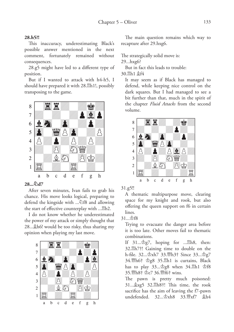#### **28.h5?!**

This inaccuracy, underestimating Black's possible answer mentioned in the next comment, fortunately remained without consequences.

28.g5 might have led to a different type of position.

But if I wanted to attack with h4-h5, I should have prepared it with 28. $\mathbb{E}h1!$ , possibly transposing to the game.



# **28...¤d7**

After seven minutes, Ivan fails to grab his chance. His move looks logical, preparing to defend the kingside with ....<sup>2</sup>f8 and allowing the start of effective counterplay with ....<sup>8</sup>b2.

I do not know whether he underestimated the power of my attack or simply thought that 28...¥h6! would be too risky, thus sharing my opinion when playing my last move.



The main question remains which way to recapture after 29.hxg6.

The strategically solid move is:

29...hxg6?

But in fact this leads to trouble: 30 買h1 **金f4** 

It may seem as if Black has managed to defend, while keeping nice control on the dark squares. But I had managed to see a bit further than that, much in the spirit of the chapter *Fluid Attacks* from the second volume.



31.g5!!

A thematic multipurpose move, clearing space for my knight and rook, but also offering the queen support on f6 in certain lines.

# 31... <br>f8

Trying to evacuate the danger area before it is too late. Other moves fail to thematic combinations.

If  $31...\Phi$ g7, hoping for ... $\mathbb{E}h8$ , then: 32.¦h7†! Gaining time to double on the h-file. 32...¢xh7 33.£h3† Since 33...¢g7 34. $$h6$†$   $\Phi$ g8 35. $$h1$  is curtains, Black has to play  $33...\$  $98$  when  $34.\overline{2}$ h1  $\Phi$ f8 35. h8† \$e7 36. hf6† wins.

The pawn is pretty much poisoned: 31...¥xg5 32.¦h8†! This time, the rook sacrifice has the aim of leaving the f7-pawn undefended. 32... $\Delta$ xh8 33. 1 xf7  $\Delta$ h4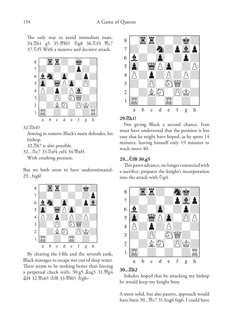The only way to avoid immediate mate. 34. h1 g5 35. @f6† \$g8 36. 4f3 @c7 37.¤f5 With a massive and decisive attack.



#### 32.<sub>gh4!?</sub>

Aiming to remove Black's main defender, his bishop.

32. h7 is also possible. 32... \$e7 33. Rxf4 exf4 34. WYxf4 With crushing pressure.

But we both seem to have underestimated: 29...fxg6!



By clearing the f-file and the seventh rank, Black manages to escape wet out of deep water. There seems to be nothing better than forcing a perpetual check with: 30.g5  $\&$ xg5 31. $\mathbb{W}$ g4 **盒f4 32. 曾e6† 空f8 33. 曾f6† 空g8=** 



#### **29.¦h1!**

Not giving Black a second chance. Ivan must have understood that the position is less easy that he might have hoped, as he spent 14 minutes, leaving himself only 19 minutes to reach move 40.

# **29...¤f8 30.g5**

This pawn advance, no longer connected with a sacrifice, prepares the knight's incorporation into the attack with  $\hat{\otimes}$ g4.



#### **30...¦b2**

Sokolov hoped that by attacking my bishop he would keep my knight busy.

A more solid, but also passive, approach would have been 30... ac7 31.hxg6 fxg6. I could have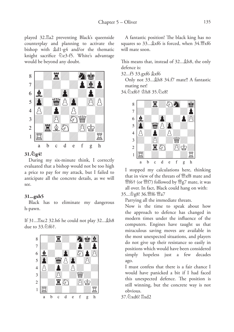played 32.<sup>g</sup>a2 preventing Black's queenside counterplay and planning to activate the bishop with  $\&$ d1-g4 and/or the thematic knight sacrifice  $\triangle$ e3-f5. White's advantage would be beyond any doubt.



# **31.¤g4!**

During my six-minute think, I correctly evaluated that a bishop would not be too high a price to pay for my attack, but I failed to anticipate all the concrete details, as we will see.

# **31...gxh5**

Black has to eliminate my dangerous h-pawn.

If 31...Exc2 32.h6 he could not play 32... h8 due to  $33.\mathcal{D}$ f6†.



A fantastic position! The black king has no squares so  $33...$  \$xf6 is forced, when  $34.$  \*xf6 will mate soon.

This means that, instead of 32... \$h8, the only defence is:

32...f5 33.gxf6 ¥xf6

Only not 33... ah8 34.f7 mate!! A fantastic mating net!

34.2xf6† \$h8 35.2e8!



I stopped my calculations here, thinking that in view of the threats of  $\mathbb{W}$ xf8 mate and £f6† (or £f7) followed by £g7 mate, it was all over. In fact, Black could hang on with: 35... heg8! 36. *if* f6 *曾a7* 

Parrying all the immediate threats.

Now is the time to speak about how the approach to defence has changed in modern times under the influence of the computers. Engines have taught us that miraculous saving moves are available in the most unexpected situations, and players do not give up their resistance so easily in positions which would have been considered simply hopeless just a few decades ago.

I must confess that there is a fair chance I would have panicked a bit if I had faced this unexpected defence. The position is still winning, but the concrete way is not obvious.

37. @xd6! Exd2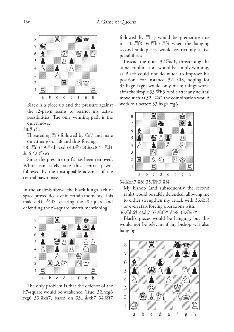

Black is a piece up and the pressure against the f2-pawn seems to restrict my active possibilities. The only winning path is the quiet move:

38.<sup>gh3!!</sup>

Threatening  $\mathbb{E}$ f3 followed by  $\mathbb{\hat{D}}$ f7 and mate on either g7 or h8 and thus forcing:

38... 2d3 39. Exd3 cxd3 40. 2xc8 gxc8 41. Ed1 ¥a6 42.£xe5

Since the pressure on f2 has been removed, White can safely take this central pawn, followed by the unstoppable advance of the central pawn mass.

In the analysis above, the black king's lack of space proved decisive in certain moments. This makes  $31...\text{\textdegree}$ d7, clearing the f8-square and defending the f6-square, worth mentioning.



The only problem is that the defence of the h7-square would be weakened. True, 32.hxg6 fxg6 33. xh7, based on 33... \$xh7 34. \$f7

followed by  $\n *Elh1*, \n would be premature due$ to 33... 口f8 34. 当h3 骂f4 when the hanging second-rank pieces would restrict my active possibilities.

Instead the quiet 32.<sup>g</sup>ac1, threatening the same combination, would be simply winning, as Black could not do much to improve his position. For instance, 32... <sub>[188</sub>, hoping for 33.hxg6 fxg6, would only make things worse after the simple 33.£h3, while after any neutral move such as 32...<sub>242</sub> the combination would work out better: 33.hxg6 fxg6



34. xh7 骂f8 35. 瞥h3 骂f4

My bishop (and subsequently the second rank) would be safely defended, allowing me to either strengthen my attack with  $36.\overline{2}f3$ or even start forcing operations with:

36.¤h6† ¢xh7 37.¤f5† ¢g8 38.¤e7†

Black's pieces would be hanging, but this would not be relevant if my bishop was also hanging.

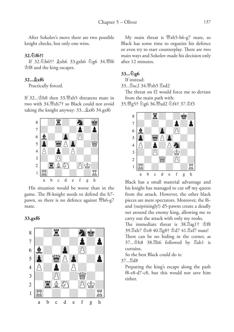After Sokolov's move there are two possible knight checks, but only one wins.

#### **32.¤f6†!**

If 32.2h6†?  $x$ kh6 33.gxh6 2g6 34.\f6 ¢f8 and the king escapes.

#### **32...¥xf6**

Practically forced.

If  $32...\Phi$ h8 then  $33.\Psi$ xh5 threatens mate in two with 34.£xh7† so Black could not avoid taking the knight anyway: 33... xf6 34.gxf6



His situation would be worse than in the game. The f8-knight needs to defend the h7 pawn, so there is no defence against  $\mathbb{W}$ h6-g7 mate.

#### **33.gxf6**



My main threat is  $\mathbb{W}$ xh5-h6-g7 mate, so Black has some time to organize his defence or even try to start counterplay. There are two main ways and Sokolov made his decision only after 12 minutes.

#### **33...¤g6**

If instead:

33... 只xc2 34. 幽xh5 只xd2

The threat on f2 would force me to deviate from the main path with:

35.£g5† ¤g6 36.£xd2 ¤f4† 37.¢f3



Black has a small material advantage and his knight has managed to cut off my queen from the attack. However, the other black pieces are mere spectators. Moreover, the f6 and (surprisingly!) d5-pawns create a deadly net around the enemy king, allowing me to carry out the attack with only my rooks.

The immediate threat is  $38.\mathbb{Z}$ ag1†  $\Phi$ f8 39.骂xh7  $\text{\&e8}$  40.骂g8†  $\text{\&d}$ d7 41.骂xf7 mate! There can be no hiding in the corner, as  $37...$  $\Phi$ h8  $38.\Xi$ h6 followed by  $\Xi$ ah1 is curtains.

So the best Black could do is:

37...¦d8

Preparing the king's escape along the path f8-e8-d7-c8, but this would not save him either.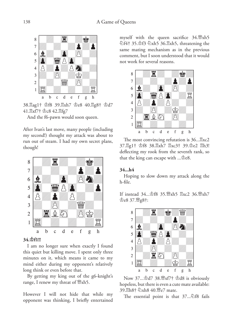

38. Hag1† \$f8 39. Hxh7 \$e8 40. Hg8† \$d7 41. xf7† gc8 42. lfg7

And the f6-pawn would soon queen.

After Ivan's last move, many people (including my second!) thought my attack was about to run out of steam. I had my own secret plans, though!



# **34.¢f1!!**

I am no longer sure when exactly I found this quiet but killing move. I spent only three minutes on it, which means it came to my mind either during my opponent's relatively long think or even before that.

By getting my king out of the g6-knight's range, I renew my threat of  $\mathbb{W}$ xh5.

However I will not hide that while my opponent was thinking, I briefly entertained

myself with the queen sacrifice  $34.$   $\mathbb{W}$ xh5  $\triangle$ f4† 35. $\triangle$ f3  $\triangle$ xh5 36. $\triangle$ xh5, threatening the same mating mechanism as in the previous comment, but I soon understood that it would not work for several reasons.



The most convincing refutation is  $36...\mathbb{Z}$ xc2 37.¦g1† ¢f8 38.¦xh7 ¦xc3† 39.¢e2 ¦h3! deflecting my rook from the seventh rank, so that the king can escape with  $\ldots \triangle$ e8.

# **34...h4**

Hoping to slow down my attack along the h-file.

If instead 34... \$f8 35. \$xh5 Exc2 36. \$xh7 ¢e8 37.£g8†:



Now 37... \$d7 38. 鹭xf7† \$d8 is obviously hopeless, but there is even a cute mate available: 39.2h8† ②xh8 40. ic7 mate.

The essential point is that  $37...\overline{2}18$  fails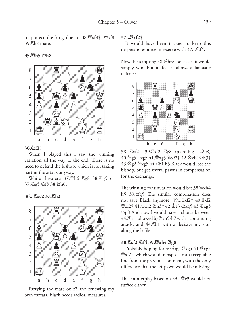to protect the king due to  $38.\%x18$ <sup>†</sup>!  $\Phi$ xf8 39.<sup>g</sup>h8 mate.



#### **35.£h5 ¢h8**

#### **36.¤f3!**

When I played this I saw the winning variation all the way to the end. There is no need to defend the bishop, which is not taking part in the attack anyway.

White threatens 37. h6 Eg8 38. 2g5 or 37. g5 公f8 38. 幽h6.

#### **36...¦xc2 37.¦h2**



Parrying the mate on f2 and renewing my own threats. Black needs radical measures.

#### **37...¦xf2†**

It would have been trickier to keep this desperate resource in reserve with  $37...\text{\textdegreeled{2}}\text{f}4$ .

Now the tempting 38. h6? looks as if it would simply win, but in fact it allows a fantastic defence.



38... $\mathbb{E}xf2\dagger$  39. $\mathbb{E}xf2$   $\mathbb{E}g8$  (planning ... $\&c8$ ) 40. 95 Exg5 41. 1 xg5 1 xf2+ 42. \$xf2 9h3+  $43.\Phi$ g2  $\&$ xg5 44. $\&$ b1 h5 Black would lose the bishop, but get several pawns in compensation for the exchange.

The winning continuation would be:  $38.\%$ xh4 h5 39.£g5 The similar combination does not save Black anymore: 39... Exf2† 40. Exf2  $\frac{W}{2}$ xf2† 41. $\frac{1}{2}$ xf2 ⊘h3† 42. $\frac{1}{2}$ e3 ⊘xg5 43.⊘xg5 ¢g8 And now I would have a choice between  $44.$  $\n <sup>2</sup>$ h1 followed by  $\n <sup>2</sup>$ xh5-h7 with a continuing attack, and 44.¦b1 with a decisive invasion along the b-file.

#### **38.¦xf2 ¤f4 39.£xh4 ¦g8**

Probably hoping for 40.2g5  $\mathbb{E}$ xg5 41. $\mathbb{E}$ xg5 **\\\\\\\\\\\\\\**xf2†! which would transpose to an acceptable line from the previous comment, with the only difference that the h4-pawn would be missing.

The counterplay based on 39... e3 would not suffice either.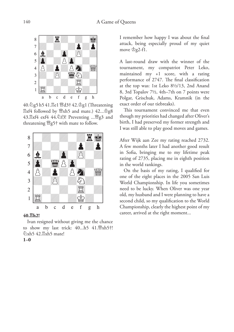

40. 2g5 h5 41. He1 \dd3+ 42. \$g1 (Threatening  $\mathbb{Z}$ xf4 followed by  $\mathbb{W}$ xh5 and mate.) 42... $\mathbb{Z}$ g8 43. Exf4 exf4 44. \f3! Preventing ... \fg3 and threatening  $\mathcal{W}$ g5† with mate to follow.



#### **40.¦h2!**

**1–0**

Ivan resigned without giving me the chance to show my last trick:  $40...h5$   $41.\mathcal{W}xh5\dagger!$ **@xh5 42.** xh5 mate!

I remember how happy I was about the final attack, being especially proud of my quiet move  $\triangle$ g2-f1.

A last-round draw with the winner of the tournament, my compatriot Peter Leko, maintained my +1 score, with a rating performance of 2747. The final classification at the top was: 1st Leko 8½/13, 2nd Anand 8, 3rd Topalov 7½, 4th–7th on 7 points were Polgar, Grischuk, Adams, Kramnik (in the exact order of our tiebreaks).

This tournament convinced me that even though my priorities had changed after Oliver's birth, I had preserved my former strength and I was still able to play good moves and games.

After Wijk aan Zee my rating reached 2732. A few months later I had another good result in Sofia, bringing me to my lifetime peak rating of 2735, placing me in eighth position in the world rankings.

On the basis of my rating, I qualified for one of the eight places in the 2005 San Luis World Championship. In life you sometimes need to be lucky. When Oliver was one year old, my husband and I were planning to have a second child, so my qualification to the World Championship, clearly the highest point of my career, arrived at the right moment...